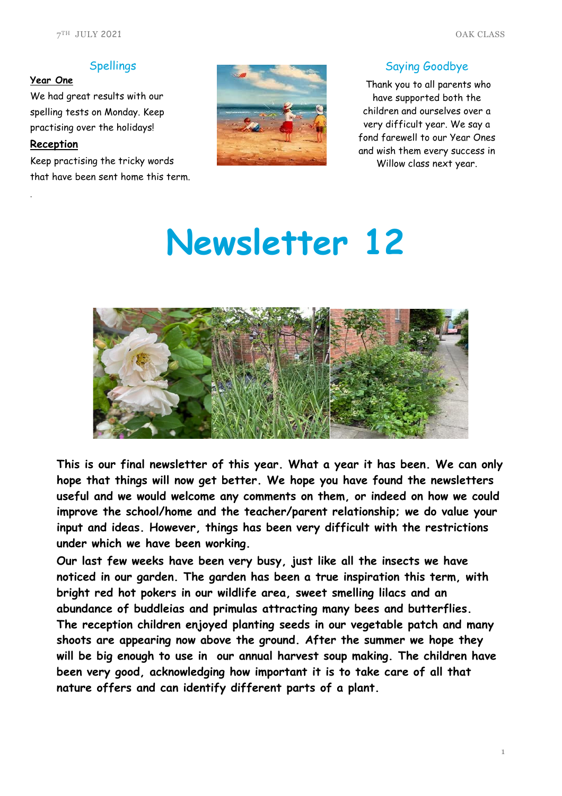### Spellings

## **Year One**

We had great results with our spelling tests on Monday. Keep practising over the holidays!

# **Reception**

.

Keep practising the tricky words that have been sent home this term.



#### Saying Goodbye

Thank you to all parents who have supported both the children and ourselves over a very difficult year. We say a fond farewell to our Year Ones and wish them every success in Willow class next year.

# **Newsletter 12**



**This is our final newsletter of this year. What a year it has been. We can only hope that things will now get better. We hope you have found the newsletters useful and we would welcome any comments on them, or indeed on how we could improve the school/home and the teacher/parent relationship; we do value your input and ideas. However, things has been very difficult with the restrictions under which we have been working.**

**Our last few weeks have been very busy, just like all the insects we have noticed in our garden. The garden has been a true inspiration this term, with bright red hot pokers in our wildlife area, sweet smelling lilacs and an abundance of buddleias and primulas attracting many bees and butterflies. The reception children enjoyed planting seeds in our vegetable patch and many shoots are appearing now above the ground. After the summer we hope they will be big enough to use in our annual harvest soup making. The children have been very good, acknowledging how important it is to take care of all that nature offers and can identify different parts of a plant.**